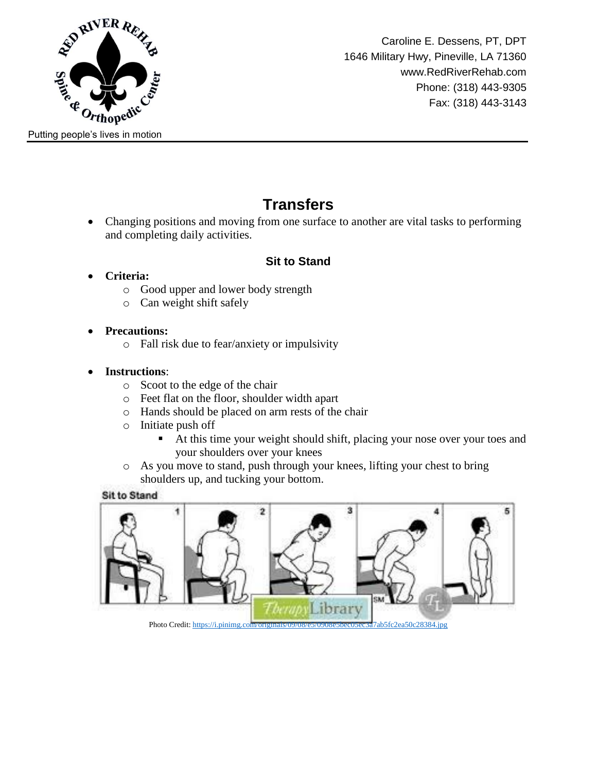

Caroline E. Dessens, PT, DPT 1646 Military Hwy, Pineville, LA 71360 www.RedRiverRehab.com Phone: (318) 443-9305 Fax: (318) 443-3143

# **Transfers**

 Changing positions and moving from one surface to another are vital tasks to performing and completing daily activities.

### **Sit to Stand**

- **Criteria:**
	- o Good upper and lower body strength
	- o Can weight shift safely
- **Precautions:**
	- o Fall risk due to fear/anxiety or impulsivity
- **Instructions**:
	- o Scoot to the edge of the chair
	- o Feet flat on the floor, shoulder width apart
	- o Hands should be placed on arm rests of the chair
	- o Initiate push off
		- At this time your weight should shift, placing your nose over your toes and your shoulders over your knees
	- o As you move to stand, push through your knees, lifting your chest to bring shoulders up, and tucking your bottom.

### **Sit to Stand**

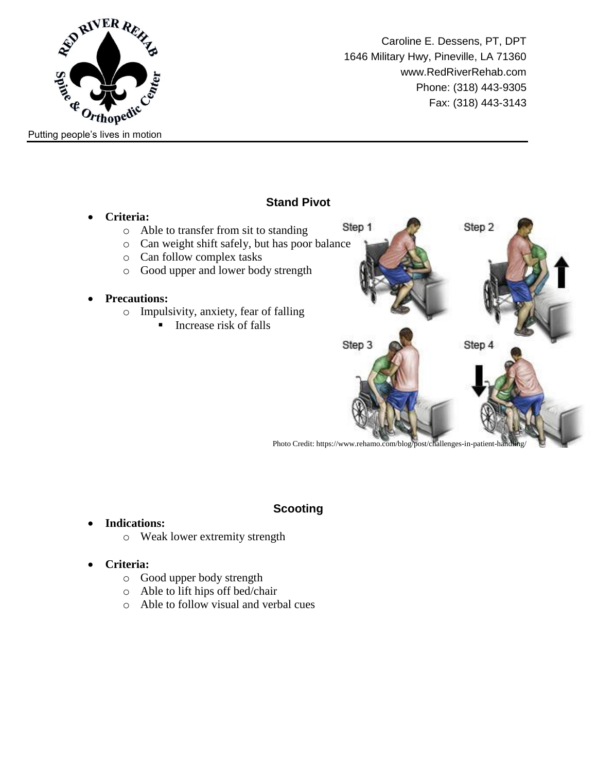

Caroline E. Dessens, PT, DPT 1646 Military Hwy, Pineville, LA 71360 www.RedRiverRehab.com Phone: (318) 443-9305 Fax: (318) 443-3143



### **Scooting**

- **Indications:**
	- o Weak lower extremity strength
- **Criteria:**
	- o Good upper body strength
	- o Able to lift hips off bed/chair
	- o Able to follow visual and verbal cues